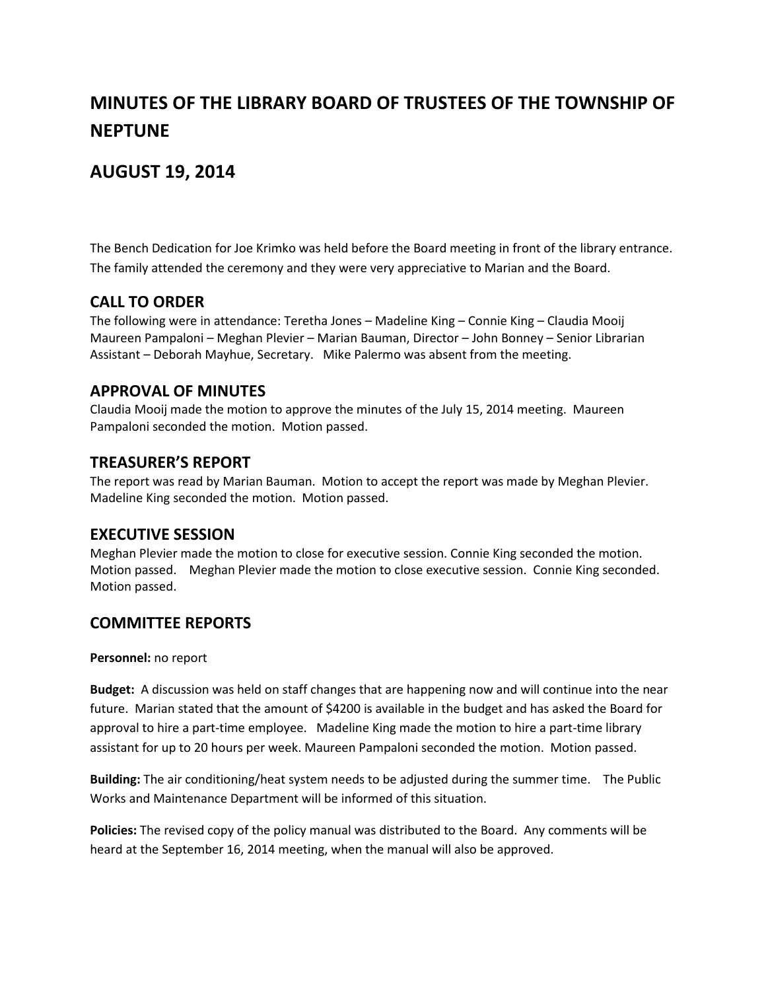# **MINUTES OF THE LIBRARY BOARD OF TRUSTEES OF THE TOWNSHIP OF NEPTUNE**

# **AUGUST 19, 2014**

The Bench Dedication for Joe Krimko was held before the Board meeting in front of the library entrance. The family attended the ceremony and they were very appreciative to Marian and the Board.

## **CALL TO ORDER**

The following were in attendance: Teretha Jones – Madeline King – Connie King – Claudia Mooij Maureen Pampaloni – Meghan Plevier – Marian Bauman, Director – John Bonney – Senior Librarian Assistant – Deborah Mayhue, Secretary. Mike Palermo was absent from the meeting.

#### **APPROVAL OF MINUTES**

Claudia Mooij made the motion to approve the minutes of the July 15, 2014 meeting. Maureen Pampaloni seconded the motion. Motion passed.

#### **TREASURER'S REPORT**

The report was read by Marian Bauman. Motion to accept the report was made by Meghan Plevier. Madeline King seconded the motion. Motion passed.

#### **EXECUTIVE SESSION**

Meghan Plevier made the motion to close for executive session. Connie King seconded the motion. Motion passed. Meghan Plevier made the motion to close executive session. Connie King seconded. Motion passed.

## **COMMITTEE REPORTS**

**Personnel:** no report

**Budget:** A discussion was held on staff changes that are happening now and will continue into the near future. Marian stated that the amount of \$4200 is available in the budget and has asked the Board for approval to hire a part-time employee. Madeline King made the motion to hire a part-time library assistant for up to 20 hours per week. Maureen Pampaloni seconded the motion. Motion passed.

**Building:** The air conditioning/heat system needs to be adjusted during the summer time. The Public Works and Maintenance Department will be informed of this situation.

**Policies:** The revised copy of the policy manual was distributed to the Board. Any comments will be heard at the September 16, 2014 meeting, when the manual will also be approved.